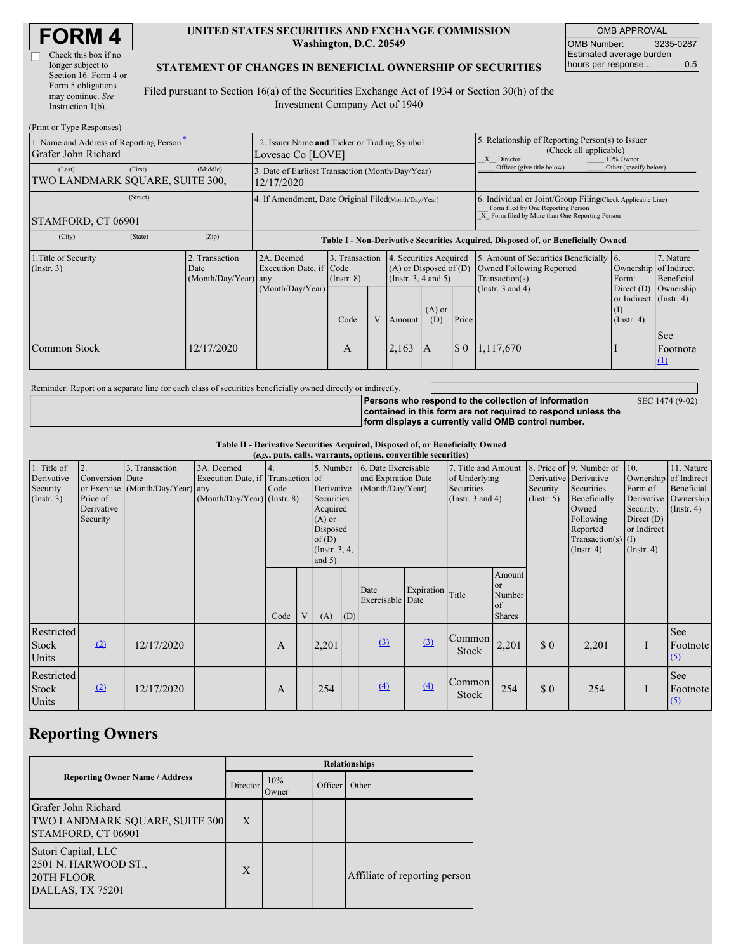| <b>FORM4</b> |
|--------------|
|--------------|

| Check this box if no  |
|-----------------------|
| longer subject to     |
| Section 16. Form 4 or |
| Form 5 obligations    |
| may continue. See     |
| Instruction $1(b)$ .  |
|                       |

 $(D_{\text{min}})$  or  $T_{\text{sum}}$   $D$ 

 $\Gamma$ 

#### **UNITED STATES SECURITIES AND EXCHANGE COMMISSION Washington, D.C. 20549**

OMB APPROVAL OMB Number: 3235-0287 Estimated average burden hours per response... 0.5

#### **STATEMENT OF CHANGES IN BENEFICIAL OWNERSHIP OF SECURITIES**

Filed pursuant to Section 16(a) of the Securities Exchange Act of 1934 or Section 30(h) of the Investment Company Act of 1940

| $(1 \text{ min of 1 ypc respectively})$<br>1. Name and Address of Reporting Person-<br>Grafer John Richard | 2. Issuer Name and Ticker or Trading Symbol<br>Lovesac Co [LOVE] |                                          |                                                                                  |                                   |  |                                                                                  | 5. Relationship of Reporting Person(s) to Issuer<br>(Check all applicable)<br>X Director<br>10% Owner |                            |                                                                                                                                                    |                                                                   |                                  |  |
|------------------------------------------------------------------------------------------------------------|------------------------------------------------------------------|------------------------------------------|----------------------------------------------------------------------------------|-----------------------------------|--|----------------------------------------------------------------------------------|-------------------------------------------------------------------------------------------------------|----------------------------|----------------------------------------------------------------------------------------------------------------------------------------------------|-------------------------------------------------------------------|----------------------------------|--|
| (Last)<br>TWO LANDMARK SQUARE, SUITE 300,                                                                  | (First)                                                          | (Middle)                                 | 3. Date of Earliest Transaction (Month/Day/Year)<br>12/17/2020                   |                                   |  |                                                                                  |                                                                                                       | Officer (give title below) | Other (specify below)                                                                                                                              |                                                                   |                                  |  |
| (Street)<br>STAMFORD, CT 06901                                                                             |                                                                  |                                          | 4. If Amendment, Date Original Filed(Month/Day/Year)                             |                                   |  |                                                                                  |                                                                                                       |                            | 6. Individual or Joint/Group Filing Check Applicable Line)<br>Form filed by One Reporting Person<br>X Form filed by More than One Reporting Person |                                                                   |                                  |  |
| (City)                                                                                                     | (State)                                                          | (Zip)                                    | Table I - Non-Derivative Securities Acquired, Disposed of, or Beneficially Owned |                                   |  |                                                                                  |                                                                                                       |                            |                                                                                                                                                    |                                                                   |                                  |  |
| 1. Title of Security<br>$($ Instr. 3 $)$<br>Date                                                           |                                                                  | 2. Transaction<br>$(Month/Day/Year)$ any | 2A. Deemed<br>Execution Date, if Code                                            | 3. Transaction<br>$($ Instr. $8)$ |  | 4. Securities Acquired<br>$(A)$ or Disposed of $(D)$<br>(Instr. $3, 4$ and $5$ ) |                                                                                                       |                            | 5. Amount of Securities Beneficially 6.<br>Owned Following Reported<br>Transaction(s)                                                              | Ownership of Indirect<br>Form:                                    | 7. Nature<br>Beneficial          |  |
|                                                                                                            |                                                                  |                                          | (Month/Day/Year)                                                                 | Code                              |  | Amount                                                                           | $(A)$ or<br>(D)                                                                                       | Price                      | (Instr. $3$ and $4$ )                                                                                                                              | Direct $(D)$<br>or Indirect (Instr. 4)<br>(I)<br>$($ Instr. 4 $)$ | Ownership                        |  |
| Common Stock                                                                                               |                                                                  | 12/17/2020                               |                                                                                  | A                                 |  | 2,163                                                                            | 1A                                                                                                    | $\sqrt{5}0$                | 1,117,670                                                                                                                                          |                                                                   | <b>See</b><br>Footnote<br>$\Box$ |  |

Reminder: Report on a separate line for each class of securities beneficially owned directly or indirectly.

**Persons who respond to the collection of information contained in this form are not required to respond unless the form displays a currently valid OMB control number.**

SEC 1474 (9-02)

**Table II - Derivative Securities Acquired, Disposed of, or Beneficially Owned**

|                                                           | (e.g., puts, calls, warrants, options, convertible securities) |                                                    |                                                                                |            |   |                                                                                                                   |                                                                |                          |                                                                             |                 |                                                  |                                                                                                                                      |                                                                                                    |                                                                      |                        |
|-----------------------------------------------------------|----------------------------------------------------------------|----------------------------------------------------|--------------------------------------------------------------------------------|------------|---|-------------------------------------------------------------------------------------------------------------------|----------------------------------------------------------------|--------------------------|-----------------------------------------------------------------------------|-----------------|--------------------------------------------------|--------------------------------------------------------------------------------------------------------------------------------------|----------------------------------------------------------------------------------------------------|----------------------------------------------------------------------|------------------------|
| 1. Title of<br>Derivative<br>Security<br>$($ Instr. 3 $)$ | 2.<br>Conversion Date<br>Price of<br>Derivative<br>Security    | 3. Transaction<br>or Exercise (Month/Day/Year) any | 3A. Deemed<br>Execution Date, if Transaction of<br>(Month/Day/Year) (Instr. 8) | 4.<br>Code |   | 5. Number<br>Derivative<br>Securities<br>Acquired<br>$(A)$ or<br>Disposed<br>of(D)<br>(Instr. $3, 4,$<br>and $5)$ | 6. Date Exercisable<br>and Expiration Date<br>(Month/Day/Year) |                          | 7. Title and Amount<br>of Underlying<br>Securities<br>(Instr. $3$ and $4$ ) |                 | Derivative Derivative<br>Security<br>(Insert. 5) | 8. Price of 9. Number of<br>Securities<br>Beneficially<br>Owned<br>Following<br>Reported<br>Transaction(s) $(I)$<br>$($ Instr. 4 $)$ | 10.<br>Ownership of Indirect<br>Form of<br>Security:<br>Direct $(D)$<br>or Indirect<br>(Insert. 4) | 11. Nature<br>Beneficial<br>Derivative Ownership<br>$($ Instr. 4 $)$ |                        |
|                                                           |                                                                |                                                    |                                                                                | Code       | V | (A)                                                                                                               | (D)                                                            | Date<br>Exercisable Date | Expiration Title                                                            |                 | Amount<br>or<br>Number<br>of<br><b>Shares</b>    |                                                                                                                                      |                                                                                                    |                                                                      |                        |
| Restricted<br>Stock<br>Units                              | (2)                                                            | 12/17/2020                                         |                                                                                | A          |   | 2,201                                                                                                             |                                                                | $\Omega$                 | (3)                                                                         | Common<br>Stock | 2,201                                            | \$0                                                                                                                                  | 2,201                                                                                              |                                                                      | See<br>Footnote<br>(5) |
| Restricted<br>Stock<br>Units                              | (2)                                                            | 12/17/2020                                         |                                                                                | A          |   | 254                                                                                                               |                                                                | $\Delta$                 | (4)                                                                         | Common<br>Stock | 254                                              | \$0                                                                                                                                  | 254                                                                                                |                                                                      | See<br>Footnote<br>(5) |

## **Reporting Owners**

|                                                                               | <b>Relationships</b> |                          |         |                               |  |  |
|-------------------------------------------------------------------------------|----------------------|--------------------------|---------|-------------------------------|--|--|
| <b>Reporting Owner Name / Address</b>                                         |                      | 10%<br>Director<br>Owner | Officer | Other                         |  |  |
| Grafer John Richard<br>TWO LANDMARK SQUARE, SUITE 300<br>STAMFORD, CT 06901   | X                    |                          |         |                               |  |  |
| Satori Capital, LLC<br>2501 N. HARWOOD ST.,<br>20TH FLOOR<br>DALLAS, TX 75201 | X                    |                          |         | Affiliate of reporting person |  |  |